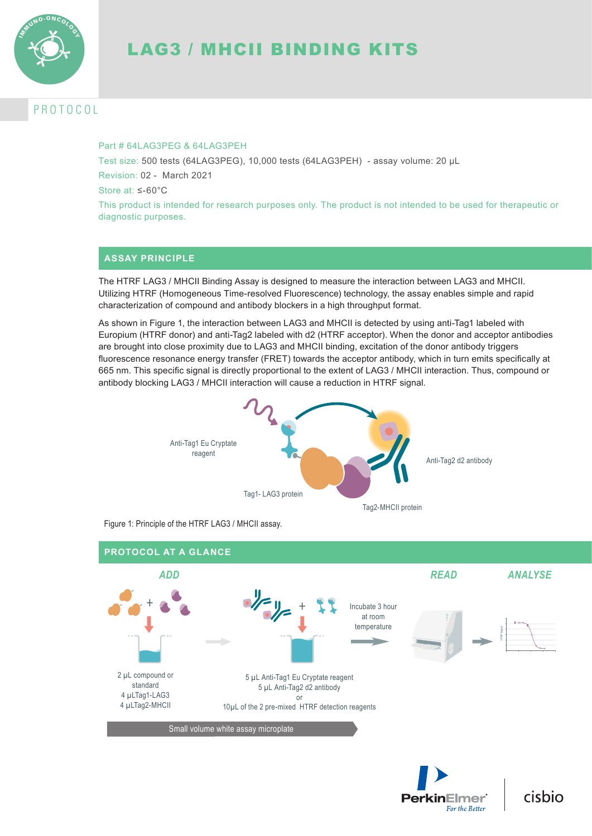

# LAG3 / MHCII BINDING KITS

# P R O T O C O L

### Part # 64LAG3PFG & 64LAG3PFH

Test size: 500 tests (64LAG3PEG), 10,000 tests (64LAG3PEH) - assay volume: 20 µL Revision: 02 - March 2021

Store at: ≤-60°C

This product is intended for research purposes only. The product is not intended to be used for therapeutic or diagnostic purposes.

# **ASSAY PRINCIPLE**

The HTRF LAG3 / MHCII Binding Assay is designed to measure the interaction between LAG3 and MHCII. Utilizing HTRF (Homogeneous Time-resolved Fluorescence) technology, the assay enables simple and rapid characterization of compound and antibody blockers in a high throughput format.

As shown in Figure 1, the interaction between LAG3 and MHCII is detected by using anti-Tag1 labeled with Europium (HTRF donor) and anti-Tag2 labeled with d2 (HTRF acceptor). When the donor and acceptor antibodies are brought into close proximity due to LAG3 and MHCII binding, excitation of the donor antibody triggers fluorescence resonance energy transfer (FRET) towards the acceptor antibody, which in turn emits specifically at 665 nm. This specific signal is directly proportional to the extent of LAG3 / MHCII interaction. Thus, compound or antibody blocking LAG3 / MHCII interaction will cause a reduction in HTRF signal.



Figure 1: Principle of the HTRF LAG3 / MHCII assay.





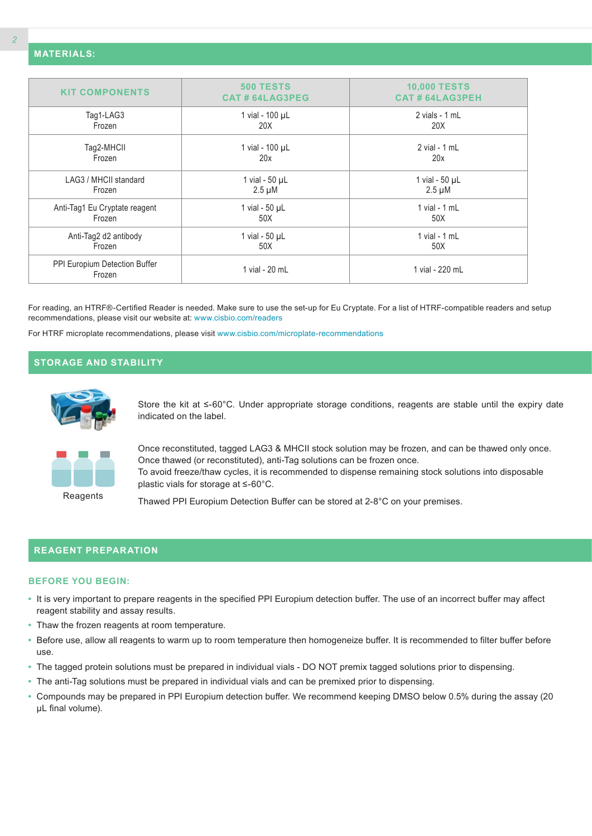| <b>KIT COMPONENTS</b>                   | <b>500 TESTS</b><br>CAT#64LAG3PEG | <b>10,000 TESTS</b><br><b>CAT # 64LAG3PEH</b> |
|-----------------------------------------|-----------------------------------|-----------------------------------------------|
| Tag1-LAG3                               | 1 vial - 100 µL                   | 2 vials - 1 mL                                |
| Frozen                                  | 20X                               | 20X                                           |
| Tag2-MHCII                              | 1 vial - 100 µL                   | $2$ vial - 1 mL                               |
| Frozen                                  | 20x                               | 20x                                           |
| LAG3 / MHCII standard                   | 1 vial - $50 \mu L$               | 1 vial - $50 \mu L$                           |
| Frozen                                  | $2.5 \mu M$                       | $2.5 \mu M$                                   |
| Anti-Tag1 Eu Cryptate reagent           | 1 vial - $50 \mu L$               | 1 vial - $1$ mL                               |
| Frozen                                  | 50X                               | 50X                                           |
| Anti-Tag2 d2 antibody                   | 1 vial - $50 \mu L$               | 1 vial - $1$ mL                               |
| Frozen                                  | 50X                               | 50X                                           |
| PPI Europium Detection Buffer<br>Frozen | 1 vial - 20 mL                    | 1 vial - 220 mL                               |

For reading, an HTRF®-Certified Reader is needed. Make sure to use the set-up for Eu Cryptate. For a list of HTRF-compatible readers and setup recommendations, please visit our website at: www.cisbio.com/readers

For HTRF microplate recommendations, please visit www.cisbio.com/microplate-recommendations

# **STORAGE AND STABILITY**



Store the kit at ≤-60°C. Under appropriate storage conditions, reagents are stable until the expiry date indicated on the label.



Once reconstituted, tagged LAG3 & MHCII stock solution may be frozen, and can be thawed only once. Once thawed (or reconstituted), anti-Tag solutions can be frozen once. To avoid freeze/thaw cycles, it is recommended to dispense remaining stock solutions into disposable plastic vials for storage at ≤-60°C.

Thawed PPI Europium Detection Buffer can be stored at 2-8°C on your premises.

### **REAGENT PREPARATION**

### **BEFORE YOU BEGIN:**

- **•** It is very important to prepare reagents in the specified PPI Europium detection buffer. The use of an incorrect buffer may affect reagent stability and assay results.
- **•** Thaw the frozen reagents at room temperature.
- **•** Before use, allow all reagents to warm up to room temperature then homogeneize buffer. It is recommended to filter buffer before use.
- **•** The tagged protein solutions must be prepared in individual vials DO NOT premix tagged solutions prior to dispensing.
- **•** The anti-Tag solutions must be prepared in individual vials and can be premixed prior to dispensing.
- **•** Compounds may be prepared in PPI Europium detection buffer. We recommend keeping DMSO below 0.5% during the assay (20 µL final volume).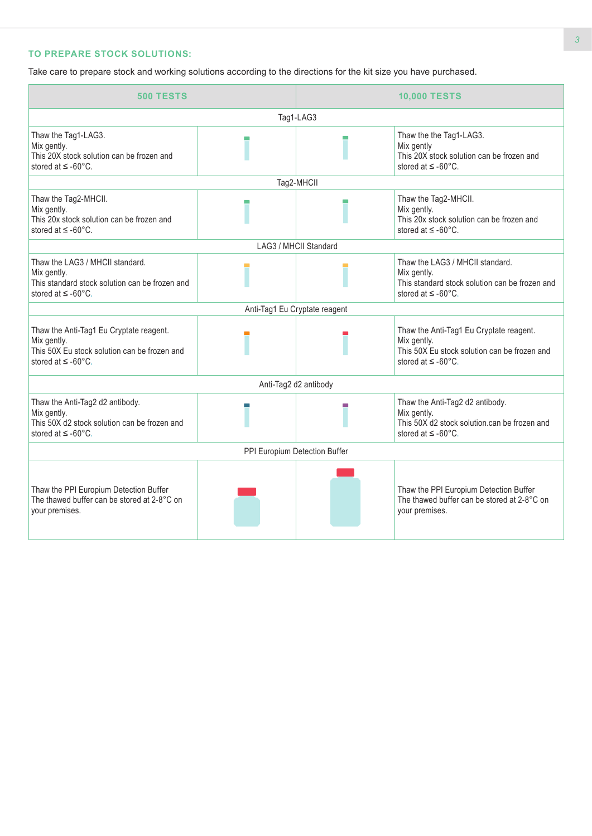# **TO PREPARE STOCK SOLUTIONS:**

Take care to prepare stock and working solutions according to the directions for the kit size you have purchased.

| <b>500 TESTS</b>                                                                                                                             |  | <b>10,000 TESTS</b>           |                                                                                                                                        |  |  |  |
|----------------------------------------------------------------------------------------------------------------------------------------------|--|-------------------------------|----------------------------------------------------------------------------------------------------------------------------------------|--|--|--|
| Tag1-LAG3                                                                                                                                    |  |                               |                                                                                                                                        |  |  |  |
| Thaw the Tag1-LAG3.<br>Mix gently.<br>This 20X stock solution can be frozen and<br>stored at $\leq$ -60 $^{\circ}$ C.                        |  |                               | Thaw the the Tag1-LAG3.<br>Mix gently<br>This 20X stock solution can be frozen and<br>stored at $\leq$ -60 $^{\circ}$ C.               |  |  |  |
|                                                                                                                                              |  | Tag2-MHCII                    |                                                                                                                                        |  |  |  |
| Thaw the Tag2-MHCII.<br>Mix gently.<br>This 20x stock solution can be frozen and<br>stored at $\leq$ -60°C.                                  |  |                               | Thaw the Tag2-MHCII.<br>Mix gently.<br>This 20x stock solution can be frozen and<br>stored at $\leq$ -60°C.                            |  |  |  |
|                                                                                                                                              |  | LAG3 / MHCII Standard         |                                                                                                                                        |  |  |  |
| Thaw the LAG3 / MHCII standard.<br>Mix gently.<br>This standard stock solution can be frozen and<br>stored at $\leq$ -60°C.                  |  |                               | Thaw the LAG3 / MHCII standard.<br>Mix gently.<br>This standard stock solution can be frozen and<br>stored at $\leq$ -60 $^{\circ}$ C. |  |  |  |
|                                                                                                                                              |  | Anti-Tag1 Eu Cryptate reagent |                                                                                                                                        |  |  |  |
| Thaw the Anti-Tag1 Eu Cryptate reagent.<br>Mix gently.<br>This 50X Eu stock solution can be frozen and<br>stored at $\leq$ -60 $^{\circ}$ C. |  |                               | Thaw the Anti-Tag1 Eu Cryptate reagent.<br>Mix gently.<br>This 50X Eu stock solution can be frozen and<br>stored at $\leq$ -60°C.      |  |  |  |
|                                                                                                                                              |  | Anti-Tag2 d2 antibody         |                                                                                                                                        |  |  |  |
| Thaw the Anti-Tag2 d2 antibody.<br>Mix gently.<br>This 50X d2 stock solution can be frozen and<br>stored at $\leq$ -60 $^{\circ}$ C.         |  |                               | Thaw the Anti-Tag2 d2 antibody.<br>Mix gently.<br>This 50X d2 stock solution.can be frozen and<br>stored at $\leq$ -60 $^{\circ}$ C.   |  |  |  |
| PPI Europium Detection Buffer                                                                                                                |  |                               |                                                                                                                                        |  |  |  |
| Thaw the PPI Europium Detection Buffer<br>The thawed buffer can be stored at 2-8°C on<br>your premises.                                      |  |                               | Thaw the PPI Europium Detection Buffer<br>The thawed buffer can be stored at 2-8°C on<br>your premises.                                |  |  |  |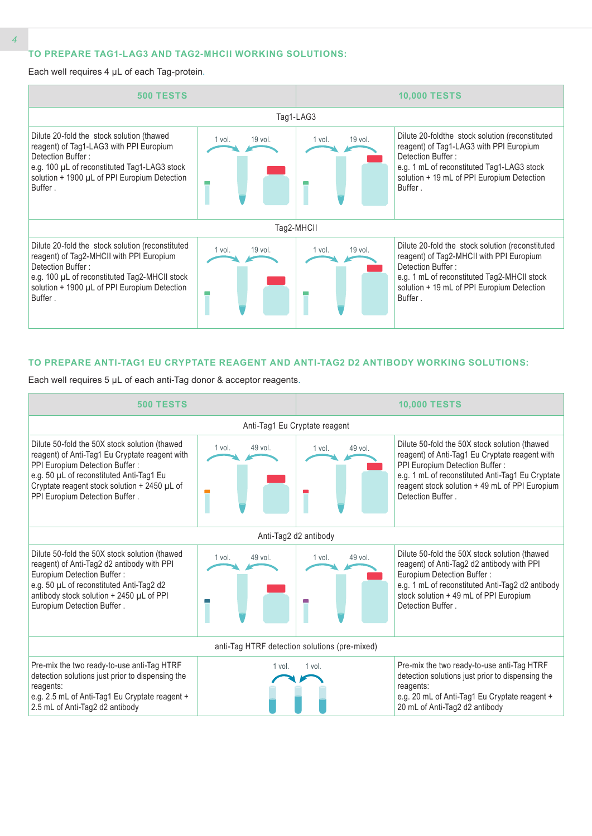### **TO PREPARE TAG1-LAG3 AND TAG2-MHCII WORKING SOLUTIONS:**

#### Each well requires 4 µL of each Tag-protein.



#### **TO PREPARE ANTI-TAG1 EU CRYPTATE REAGENT AND ANTI-TAG2 D2 ANTIBODY WORKING SOLUTIONS:**

Each well requires 5 µL of each anti-Tag donor & acceptor reagents.

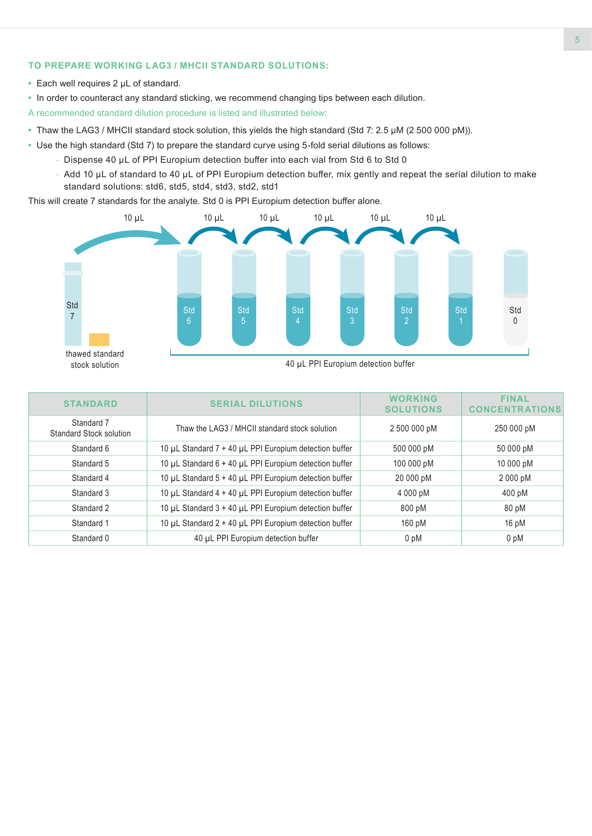### **TO PREPARE WORKING LAG3 / MHCII STANDARD SOLUTIONS:**

- **•** Each well requires 2 µL of standard.
- **•** In order to counteract any standard sticking, we recommend changing tips between each dilution.

A recommended standard dilution procedure is listed and illustrated below:

- **•** Thaw the LAG3 / MHCII standard stock solution, this yields the high standard (Std 7: 2.5 µM (2 500 000 pM)).
- **•** Use the high standard (Std 7) to prepare the standard curve using 5-fold serial dilutions as follows:
	- Dispense 40 µL of PPI Europium detection buffer into each vial from Std 6 to Std 0
	- Add 10 µL of standard to 40 µL of PPI Europium detection buffer, mix gently and repeat the serial dilution to make standard solutions: std6, std5, std4, std3, std2, std1

This will create 7 standards for the analyte. Std 0 is PPI Europium detection buffer alone.



| <b>STANDARD</b>                              | <b>SERIAL DILUTIONS</b>                                | <b>WORKING</b><br><b>SOLUTIONS</b> | <b>FINAL</b><br><b>CONCENTRATIONS</b> |
|----------------------------------------------|--------------------------------------------------------|------------------------------------|---------------------------------------|
| Standard 7<br><b>Standard Stock solution</b> | Thaw the LAG3 / MHCII standard stock solution          | 2 500 000 pM                       | 250 000 pM                            |
| Standard 6                                   | 10 µL Standard 7 + 40 µL PPI Europium detection buffer | 500 000 pM                         | 50 000 pM                             |
| Standard 5                                   | 10 µL Standard 6 + 40 µL PPI Europium detection buffer | 100 000 pM                         | 10 000 pM                             |
| Standard 4                                   | 10 µL Standard 5 + 40 µL PPI Europium detection buffer | 20 000 pM                          | 2 000 pM                              |
| Standard 3                                   | 10 µL Standard 4 + 40 µL PPI Europium detection buffer | 4 000 pM                           | 400 pM                                |
| Standard 2                                   | 10 µL Standard 3 + 40 µL PPI Europium detection buffer | 800 pM                             | 80 pM                                 |
| Standard 1                                   | 10 µL Standard 2 + 40 µL PPI Europium detection buffer | 160 pM                             | $16$ pM                               |
| Standard 0                                   | 40 µL PPI Europium detection buffer                    | 0 <sub>pM</sub>                    | 0 <sub>pM</sub>                       |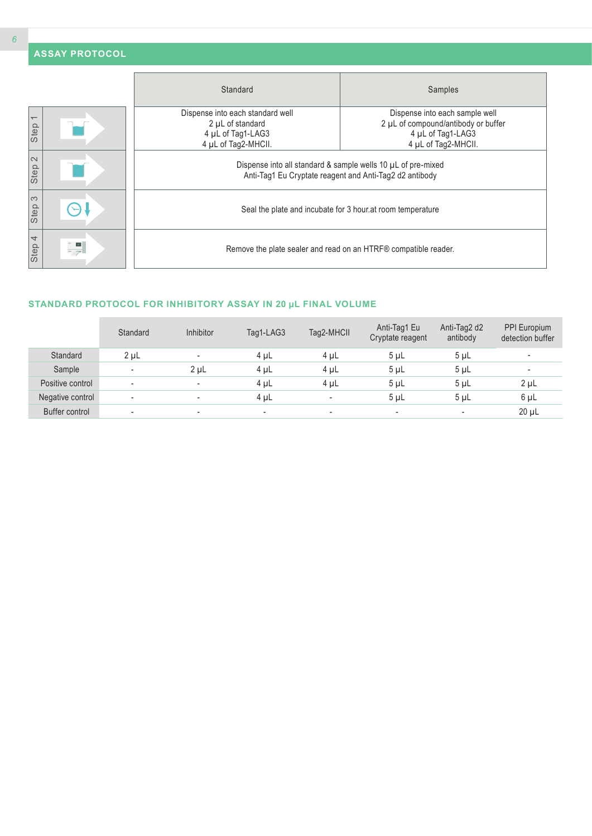|                                  | <b>ASSAY PROTOCOL</b> |                                                                                                                         |                                                                                                                   |  |  |  |  |  |
|----------------------------------|-----------------------|-------------------------------------------------------------------------------------------------------------------------|-------------------------------------------------------------------------------------------------------------------|--|--|--|--|--|
|                                  |                       | Standard                                                                                                                | Samples                                                                                                           |  |  |  |  |  |
| $\overline{\phantom{0}}$<br>Step |                       | Dispense into each standard well<br>2 µL of standard<br>4 µL of Tag1-LAG3<br>4 µL of Tag2-MHCII.                        | Dispense into each sample well<br>2 µL of compound/antibody or buffer<br>4 µL of Tag1-LAG3<br>4 µL of Tag2-MHCII. |  |  |  |  |  |
| $\sim$<br>Step                   |                       | Dispense into all standard & sample wells 10 µL of pre-mixed<br>Anti-Tag1 Eu Cryptate reagent and Anti-Tag2 d2 antibody |                                                                                                                   |  |  |  |  |  |
| S<br>Step                        |                       | Seal the plate and incubate for 3 hour at room temperature                                                              |                                                                                                                   |  |  |  |  |  |
| 4<br>Step                        | $\mathord{\sim}$      | Remove the plate sealer and read on an HTRF® compatible reader.                                                         |                                                                                                                   |  |  |  |  |  |

# **STANDARD PROTOCOL FOR INHIBITORY ASSAY IN 20 µL FINAL VOLUME**

|                  | Standard                 | <b>Inhibitor</b>         | Tag1-LAG3 | Tag2-MHCII               | Anti-Tag1 Eu<br>Cryptate reagent | Anti-Tag2 d2<br>antibody | PPI Europium<br>detection buffer |
|------------------|--------------------------|--------------------------|-----------|--------------------------|----------------------------------|--------------------------|----------------------------------|
| Standard         | $2 \mu L$                | $\overline{\phantom{a}}$ | $4 \mu L$ | $4 \mu L$                | 5 <sub>µ</sub>                   | 5 <sub>µ</sub>           | $\overline{\phantom{a}}$         |
| Sample           | $\overline{\phantom{a}}$ | 2 <sub>µ</sub>           | $4 \mu L$ | $4 \mu L$                | $5 \mu L$                        | 5 <sub>µ</sub>           | $\overline{\phantom{a}}$         |
| Positive control | $\overline{\phantom{a}}$ | $\overline{\phantom{a}}$ | $4 \mu L$ | $4 \mu L$                | $5 \mu L$                        | 5 <sub>µ</sub>           | $2 \mu L$                        |
| Negative control | $\overline{\phantom{a}}$ | $\overline{\phantom{a}}$ | $4 \mu L$ | $\overline{\phantom{a}}$ | 5 <sub>µ</sub>                   | 5 <sub>µ</sub>           | 6 µL                             |
| Buffer control   | ۰                        | $\overline{\phantom{a}}$ | ۰         | ۰                        | ۰                                | $\overline{\phantom{a}}$ | $20 \mu L$                       |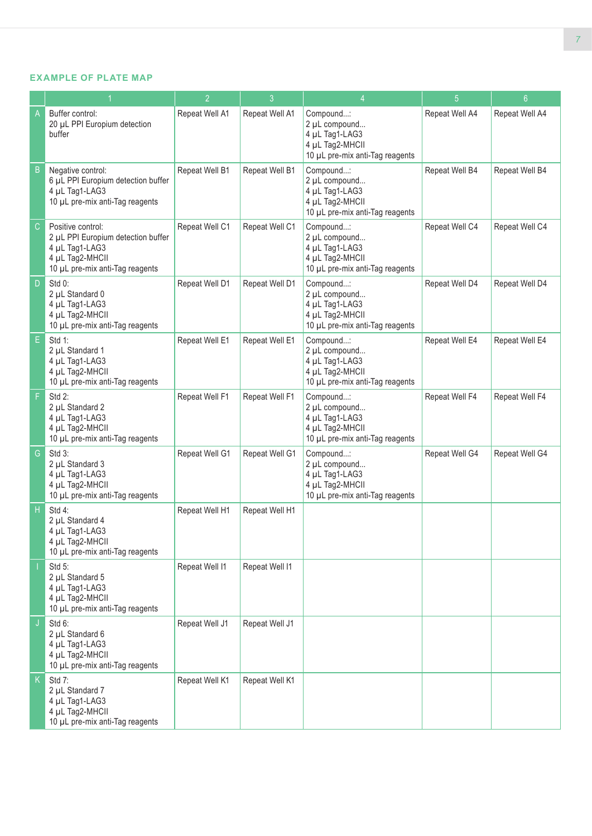### **EXAMPLE OF PLATE MAP**

|               |                                                                                                                                 | $\overline{2}$ | $\mathbf{3}$   | $\overline{4}$                                                                                     | 5              | 6 <sup>°</sup> |
|---------------|---------------------------------------------------------------------------------------------------------------------------------|----------------|----------------|----------------------------------------------------------------------------------------------------|----------------|----------------|
| A             | Buffer control:<br>20 µL PPI Europium detection<br>buffer                                                                       | Repeat Well A1 | Repeat Well A1 | Compound:<br>2 µL compound<br>4 µL Tag1-LAG3<br>4 µL Tag2-MHCII<br>10 µL pre-mix anti-Tag reagents | Repeat Well A4 | Repeat Well A4 |
| B             | Negative control:<br>6 µL PPI Europium detection buffer<br>4 µL Tag1-LAG3<br>10 µL pre-mix anti-Tag reagents                    | Repeat Well B1 | Repeat Well B1 | Compound:<br>2 µL compound<br>4 µL Tag1-LAG3<br>4 µL Tag2-MHCII<br>10 µL pre-mix anti-Tag reagents | Repeat Well B4 | Repeat Well B4 |
| $\mathsf{C}$  | Positive control:<br>2 µL PPI Europium detection buffer<br>4 µL Tag1-LAG3<br>4 µL Tag2-MHCII<br>10 µL pre-mix anti-Tag reagents | Repeat Well C1 | Repeat Well C1 | Compound:<br>2 µL compound<br>4 µL Tag1-LAG3<br>4 µL Tag2-MHCII<br>10 µL pre-mix anti-Tag reagents | Repeat Well C4 | Repeat Well C4 |
| D             | $Std 0$ :<br>2 µL Standard 0<br>4 µL Tag1-LAG3<br>4 µL Tag2-MHCII<br>10 µL pre-mix anti-Tag reagents                            | Repeat Well D1 | Repeat Well D1 | Compound:<br>2 µL compound<br>4 µL Tag1-LAG3<br>4 µL Tag2-MHCII<br>10 µL pre-mix anti-Tag reagents | Repeat Well D4 | Repeat Well D4 |
| E             | Std 1:<br>2 µL Standard 1<br>4 µL Tag1-LAG3<br>4 µL Tag2-MHCII<br>10 µL pre-mix anti-Tag reagents                               | Repeat Well E1 | Repeat Well E1 | Compound:<br>2 µL compound<br>4 µL Tag1-LAG3<br>4 µL Tag2-MHCII<br>10 µL pre-mix anti-Tag reagents | Repeat Well E4 | Repeat Well E4 |
| F             | Std 2:<br>2 µL Standard 2<br>4 µL Tag1-LAG3<br>4 µL Tag2-MHCII<br>10 µL pre-mix anti-Tag reagents                               | Repeat Well F1 | Repeat Well F1 | Compound:<br>2 µL compound<br>4 µL Tag1-LAG3<br>4 µL Tag2-MHCII<br>10 µL pre-mix anti-Tag reagents | Repeat Well F4 | Repeat Well F4 |
| ${\mathsf G}$ | Std 3:<br>2 µL Standard 3<br>4 µL Tag1-LAG3<br>4 µL Tag2-MHCII<br>10 µL pre-mix anti-Tag reagents                               | Repeat Well G1 | Repeat Well G1 | Compound:<br>2 µL compound<br>4 µL Tag1-LAG3<br>4 µL Tag2-MHCII<br>10 µL pre-mix anti-Tag reagents | Repeat Well G4 | Repeat Well G4 |
| H             | Std 4:<br>2 µL Standard 4<br>4 µL Tag1-LAG3<br>4 µL Tag2-MHCII<br>10 µL pre-mix anti-Tag reagents                               | Repeat Well H1 | Repeat Well H1 |                                                                                                    |                |                |
|               | Std 5:<br>2 µL Standard 5<br>4 µL Tag1-LAG3<br>4 µL Tag2-MHCII<br>10 µL pre-mix anti-Tag reagents                               | Repeat Well I1 | Repeat Well I1 |                                                                                                    |                |                |
|               | Std 6:<br>2 µL Standard 6<br>4 µL Tag1-LAG3<br>4 µL Tag2-MHCII<br>10 µL pre-mix anti-Tag reagents                               | Repeat Well J1 | Repeat Well J1 |                                                                                                    |                |                |
| K.            | Std 7:<br>2 µL Standard 7<br>4 µL Tag1-LAG3<br>4 µL Tag2-MHCII<br>10 µL pre-mix anti-Tag reagents                               | Repeat Well K1 | Repeat Well K1 |                                                                                                    |                |                |